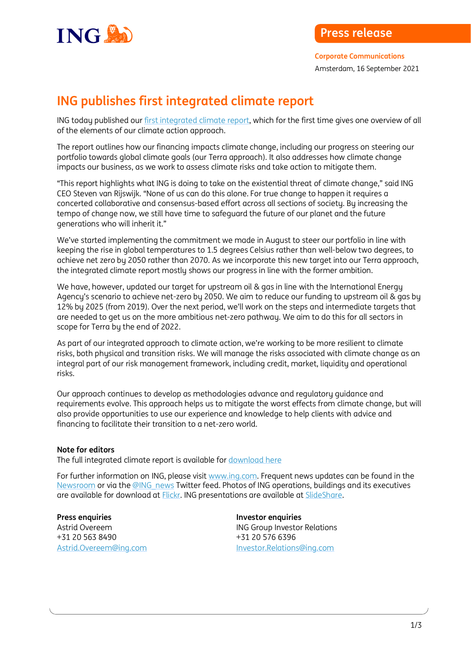

## **ING publishes first integrated climate report**

ING today published ou[r first integrated climate report,](https://www.ing.com/2021-Climate-Report.htm) which for the first time gives one overview of all of the elements of our climate action approach.

The report outlines how our financing impacts climate change, including our progress on steering our portfolio towards global climate goals (our Terra approach). It also addresses how climate change impacts our business, as we work to assess climate risks and take action to mitigate them.

"This report highlights what ING is doing to take on the existential threat of climate change," said ING CEO Steven van Rijswijk. "None of us can do this alone. For true change to happen it requires a concerted collaborative and consensus-based effort across all sections of society. By increasing the tempo of change now, we still have time to safeguard the future of our planet and the future generations who will inherit it."

We've started implementing the commitment we made in August to steer our portfolio in line with keeping the rise in global temperatures to 1.5 degrees Celsius rather than well-below two degrees, to achieve net zero by 2050 rather than 2070. As we incorporate this new target into our Terra approach, the integrated climate report mostly shows our progress in line with the former ambition.

We have, however, updated our target for upstream oil & gas in line with the International Energy Agency's scenario to achieve net-zero by 2050. We aim to reduce our funding to upstream oil & gas by 12% by 2025 (from 2019). Over the next period, we'll work on the steps and intermediate targets that are needed to get us on the more ambitious net-zero pathway. We aim to do this for all sectors in scope for Terra by the end of 2022.

As part of our integrated approach to climate action, we're working to be more resilient to climate risks, both physical and transition risks. We will manage the risks associated with climate change as an integral part of our risk management framework, including credit, market, liquidity and operational risks.

Our approach continues to develop as methodologies advance and regulatory guidance and requirements evolve. This approach helps us to mitigate the worst effects from climate change, but will also provide opportunities to use our experience and knowledge to help clients with advice and financing to facilitate their transition to a net-zero world.

## **Note for editors**

The full integrated climate report is available for [download here](https://www.ing.com/2021-Climate-Report.htm)

For further information on ING, please visi[t www.ing.com.](http://www.ing.com/) Frequent news updates can be found in the [Newsroom](http://www.ing.com/Newsroom.htm) or via th[e @ING\\_news](http://www.twitter.com/ing_news) Twitter feed. Photos of ING operations, buildings and its executives are available for download at [Flickr.](http://www.flickr.com/photos/inggroup) ING presentations are available at [SlideShare.](http://www.slideshare.net/ING/presentations)

**Press enquiries Press enquiries** +31 20 563 8490 +31 20 576 6396

Astrid Overeem **ING Group Investor Relations** [Astrid.Overeem@ing.com](mailto:Astrid.Overeem@ing.com) [Investor.Relations@ing.com](mailto:Investor.Relations@ing.com)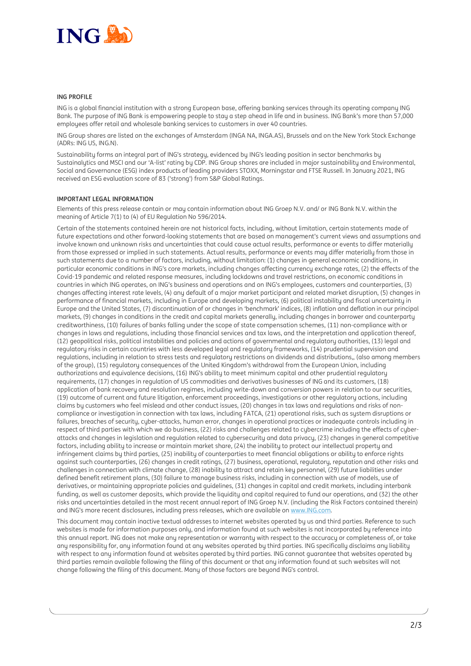

## **ING PROFILE**

ING is a global financial institution with a strong European base, offering banking services through its operating company ING Bank. The purpose of ING Bank is empowering people to stay a step ahead in life and in business. ING Bank's more than 57,000 employees offer retail and wholesale banking services to customers in over 40 countries.

ING Group shares are listed on the exchanges of Amsterdam (INGA NA, INGA.AS), Brussels and on the New York Stock Exchange (ADRs: ING US, ING.N).

Sustainability forms an integral part of ING's strategy, evidenced by ING's leading position in sector benchmarks by Sustainalytics and MSCI and our 'A-list' rating by CDP. ING Group shares are included in major sustainability and Environmental. Social and Governance (ESG) index products of leading providers STOXX, Morningstar and FTSE Russell. In January 2021, ING received an ESG evaluation score of 83 ('strong') from S&P Global Ratings.

## **IMPORTANT LEGAL INFORMATION**

Elements of this press release contain or may contain information about ING Groep N.V. and/ or ING Bank N.V. within the meaning of Article 7(1) to (4) of EU Regulation No 596/2014.

Certain of the statements contained herein are not historical facts, including, without limitation, certain statements made of future expectations and other forward-looking statements that are based on management's current views and assumptions and involve known and unknown risks and uncertainties that could cause actual results, performance or events to differ materially from those expressed or implied in such statements. Actual results, performance or events may differ materially from those in such statements due to a number of factors, including, without limitation: (1) changes in general economic conditions, in particular economic conditions in ING's core markets, including changes affecting currency exchange rates, (2) the effects of the Covid-19 pandemic and related response measures, including lockdowns and travel restrictions, on economic conditions in countries in which ING operates, on ING's business and operations and on ING's employees, customers and counterparties, (3) changes affecting interest rate levels, (4) any default of a major market participant and related market disruption, (5) changes in performance of financial markets, including in Europe and developing markets, (6) political instability and fiscal uncertainty in Europe and the United States, (7) discontinuation of or changes in 'benchmark' indices, (8) inflation and deflation in our principal markets, (9) changes in conditions in the credit and capital markets generally, including changes in borrower and counterparty creditworthiness, (10) failures of banks falling under the scope of state compensation schemes, (11) non-compliance with or changes in laws and regulations, including those financial services and tax laws, and the interpretation and application thereof, (12) geopolitical risks, political instabilities and policies and actions of governmental and regulatory authorities, (13) legal and regulatory risks in certain countries with less developed legal and regulatory frameworks, (14) prudential supervision and regulations, including in relation to stress tests and regulatory restrictions on dividends and distributions,, (also among members of the group), (15) regulatory consequences of the United Kingdom's withdrawal from the European Union, including authorizations and equivalence decisions, (16) ING's ability to meet minimum capital and other prudential regulatory requirements, (17) changes in regulation of US commodities and derivatives businesses of ING and its customers, (18) application of bank recovery and resolution regimes, including write-down and conversion powers in relation to our securities, (19) outcome of current and future litigation, enforcement proceedings, investigations or other regulatory actions, including claims by customers who feel mislead and other conduct issues, (20) changes in tax laws and regulations and risks of noncompliance or investigation in connection with tax laws, including FATCA, (21) operational risks, such as system disruptions or failures, breaches of security, cyber-attacks, human error, changes in operational practices or inadequate controls including in respect of third parties with which we do business, (22) risks and challenges related to cybercrime including the effects of cyberattacks and changes in legislation and regulation related to cybersecurity and data privacy, (23) changes in general competitive factors, including ability to increase or maintain market share, (24) the inability to protect our intellectual property and infringement claims by third parties, (25) inability of counterparties to meet financial obligations or ability to enforce rights against such counterparties, (26) changes in credit ratings, (27) business, operational, regulatory, reputation and other risks and challenges in connection with climate change, (28) inability to attract and retain key personnel, (29) future liabilities under defined benefit retirement plans, (30) failure to manage business risks, including in connection with use of models, use of derivatives, or maintaining appropriate policies and guidelines, (31) changes in capital and credit markets, including interbank funding, as well as customer deposits, which provide the liquidity and capital required to fund our operations, and (32) the other risks and uncertainties detailed in the most recent annual report of ING Groep N.V. (including the Risk Factors contained therein) and ING's more recent disclosures, including press releases, which are available on [www.ING.com.](http://www.ing.com/) 

This document may contain inactive textual addresses to internet websites operated by us and third parties. Reference to such websites is made for information purposes only, and information found at such websites is not incorporated by reference into this annual report. ING does not make any representation or warranty with respect to the accuracy or completeness of, or take any responsibility for, any information found at any websites operated by third parties. ING specifically disclaims any liability with respect to any information found at websites operated by third parties. ING cannot guarantee that websites operated by third parties remain available following the filing of this document or that any information found at such websites will not change following the filing of this document. Many of those factors are beyond ING's control.